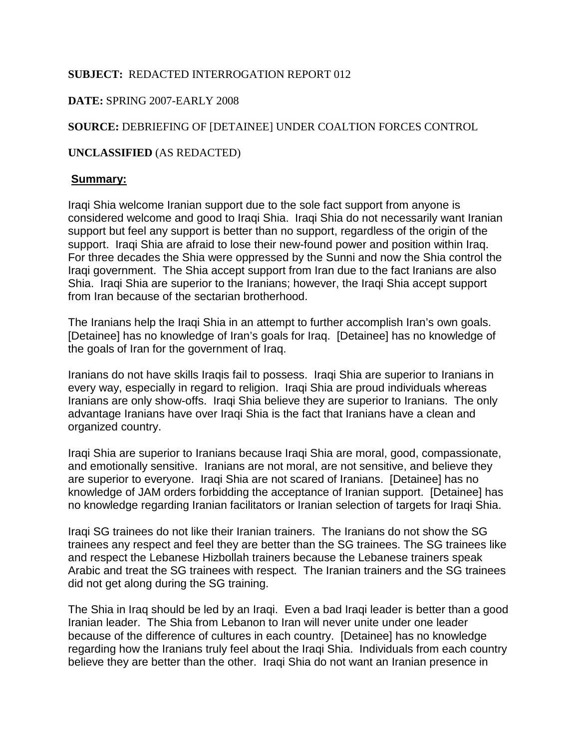#### **SUBJECT:** REDACTED INTERROGATION REPORT 012

## **DATE:** SPRING 2007-EARLY 2008

# **SOURCE:** DEBRIEFING OF [DETAINEE] UNDER COALTION FORCES CONTROL

## **UNCLASSIFIED** (AS REDACTED)

### **Summary:**

Iraqi Shia welcome Iranian support due to the sole fact support from anyone is considered welcome and good to Iraqi Shia. Iraqi Shia do not necessarily want Iranian support but feel any support is better than no support, regardless of the origin of the support. Iraqi Shia are afraid to lose their new-found power and position within Iraq. For three decades the Shia were oppressed by the Sunni and now the Shia control the Iraqi government. The Shia accept support from Iran due to the fact Iranians are also Shia. Iraqi Shia are superior to the Iranians; however, the Iraqi Shia accept support from Iran because of the sectarian brotherhood.

The Iranians help the Iraqi Shia in an attempt to further accomplish Iran's own goals. [Detainee] has no knowledge of Iran's goals for Iraq. [Detainee] has no knowledge of the goals of Iran for the government of Iraq.

Iranians do not have skills Iraqis fail to possess. Iraqi Shia are superior to Iranians in every way, especially in regard to religion. Iraqi Shia are proud individuals whereas Iranians are only show-offs. Iraqi Shia believe they are superior to Iranians. The only advantage Iranians have over Iraqi Shia is the fact that Iranians have a clean and organized country.

Iraqi Shia are superior to Iranians because Iraqi Shia are moral, good, compassionate, and emotionally sensitive. Iranians are not moral, are not sensitive, and believe they are superior to everyone. Iraqi Shia are not scared of Iranians. [Detainee] has no knowledge of JAM orders forbidding the acceptance of Iranian support. [Detainee] has no knowledge regarding Iranian facilitators or Iranian selection of targets for Iraqi Shia.

Iraqi SG trainees do not like their Iranian trainers. The Iranians do not show the SG trainees any respect and feel they are better than the SG trainees. The SG trainees like and respect the Lebanese Hizbollah trainers because the Lebanese trainers speak Arabic and treat the SG trainees with respect. The Iranian trainers and the SG trainees did not get along during the SG training.

The Shia in Iraq should be led by an Iraqi. Even a bad Iraqi leader is better than a good Iranian leader. The Shia from Lebanon to Iran will never unite under one leader because of the difference of cultures in each country. [Detainee] has no knowledge regarding how the Iranians truly feel about the Iraqi Shia. Individuals from each country believe they are better than the other. Iraqi Shia do not want an Iranian presence in